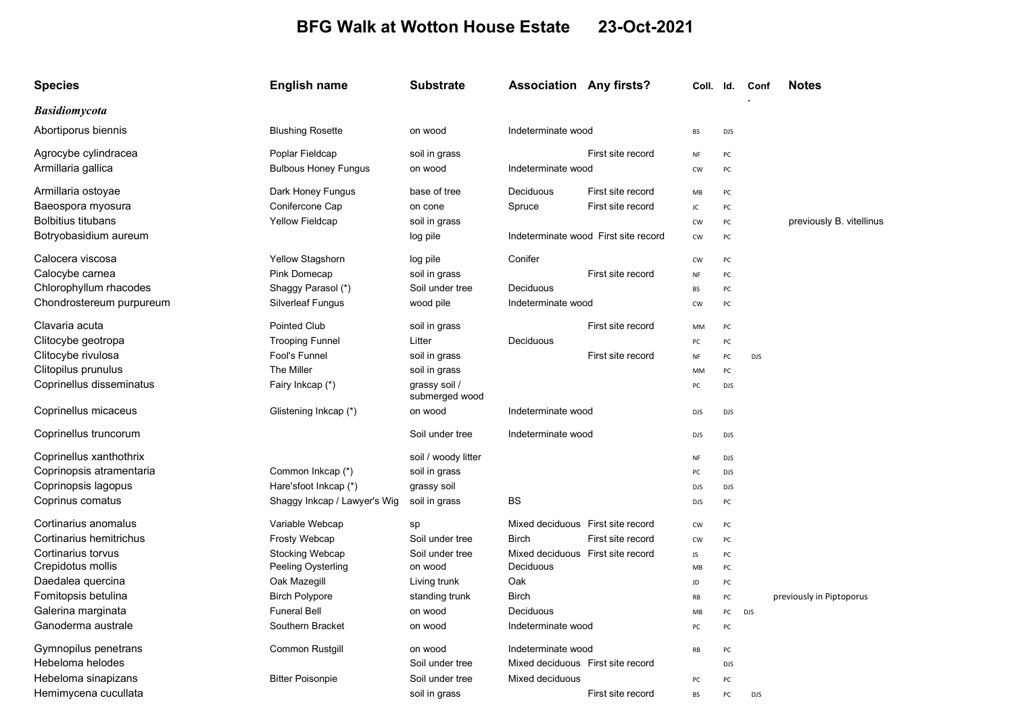## BFG Walk at Wotton House Estate 23-Oct-2021

| <b>Species</b>            | <b>English name</b>          | <b>Substrate</b>                | <b>Association Any firsts?</b>       |                   | Coll. Id.     |            | Conf       | <b>Notes</b>             |
|---------------------------|------------------------------|---------------------------------|--------------------------------------|-------------------|---------------|------------|------------|--------------------------|
| <b>Basidiomycota</b>      |                              |                                 |                                      |                   |               |            |            |                          |
| Abortiporus biennis       | <b>Blushing Rosette</b>      | on wood                         | Indeterminate wood                   |                   | <b>BS</b>     | <b>DJS</b> |            |                          |
| Agrocybe cylindracea      | Poplar Fieldcap              | soil in grass                   |                                      | First site record | NF            | PC         |            |                          |
| Armillaria gallica        | <b>Bulbous Honey Fungus</b>  | on wood                         | Indeterminate wood                   |                   | <b>CW</b>     | PC         |            |                          |
| Armillaria ostoyae        | Dark Honey Fungus            | base of tree                    | Deciduous                            | First site record | MB            | PC         |            |                          |
| Baeospora myosura         | Conifercone Cap              | on cone                         | Spruce                               | First site record | JC            | PC         |            |                          |
| <b>Bolbitius titubans</b> | <b>Yellow Fieldcap</b>       | soil in grass                   |                                      |                   | <b>CW</b>     | PC         |            | previously B. vitellinus |
| Botryobasidium aureum     |                              | log pile                        | Indeterminate wood First site record |                   | <b>CW</b>     | PC         |            |                          |
| Calocera viscosa          | Yellow Stagshorn             | log pile                        | Conifer                              |                   | <b>CW</b>     | PC         |            |                          |
| Calocybe carnea           | Pink Domecap                 | soil in grass                   |                                      | First site record | NF            | PC         |            |                          |
| Chlorophyllum rhacodes    | Shaggy Parasol (*)           | Soil under tree                 | Deciduous                            |                   | <b>BS</b>     | PC         |            |                          |
| Chondrostereum purpureum  | <b>Silverleaf Fungus</b>     | wood pile                       | Indeterminate wood                   |                   | <b>CW</b>     | PC         |            |                          |
| Clavaria acuta            | <b>Pointed Club</b>          | soil in grass                   |                                      | First site record | MM            | PC         |            |                          |
| Clitocybe geotropa        | <b>Trooping Funnel</b>       | Litter                          | Deciduous                            |                   | PC            | PC         |            |                          |
| Clitocybe rivulosa        | Fool's Funnel                | soil in grass                   |                                      | First site record | NF            | PC         | <b>DJS</b> |                          |
| Clitopilus prunulus       | The Miller                   | soil in grass                   |                                      |                   | MM            | PC         |            |                          |
| Coprinellus disseminatus  | Fairy Inkcap (*)             | grassy soil /<br>submerged wood |                                      |                   | PC            | <b>DJS</b> |            |                          |
| Coprinellus micaceus      | Glistening Inkcap (*)        | on wood                         | Indeterminate wood                   |                   | <b>DJS</b>    | <b>DJS</b> |            |                          |
| Coprinellus truncorum     |                              | Soil under tree                 | Indeterminate wood                   |                   | <b>DJS</b>    | <b>DJS</b> |            |                          |
| Coprinellus xanthothrix   |                              | soil / woody litter             |                                      |                   | NF            | <b>DJS</b> |            |                          |
| Coprinopsis atramentaria  | Common Inkcap (*)            | soil in grass                   |                                      |                   | PC            | <b>DJS</b> |            |                          |
| Coprinopsis lagopus       | Hare'sfoot Inkcap (*)        | grassy soil                     |                                      |                   | <b>DJS</b>    | <b>DJS</b> |            |                          |
| Coprinus comatus          | Shaggy Inkcap / Lawyer's Wig | soil in grass                   | BS                                   |                   | <b>DJS</b>    | PC         |            |                          |
| Cortinarius anomalus      | Variable Webcap              | sp                              | Mixed deciduous First site record    |                   | <b>CW</b>     | PC         |            |                          |
| Cortinarius hemitrichus   | Frosty Webcap                | Soil under tree                 | <b>Birch</b>                         | First site record | <b>CW</b>     | PC         |            |                          |
| Cortinarius torvus        | Stocking Webcap              | Soil under tree                 | Mixed deciduous First site record    |                   | JS            | PC         |            |                          |
| Crepidotus mollis         | Peeling Oysterling           | on wood                         | Deciduous                            |                   | MB            | PC         |            |                          |
| Daedalea quercina         | Oak Mazegill                 | Living trunk                    | Oak                                  |                   | JD            | PC         |            |                          |
| Fomitopsis betulina       | <b>Birch Polypore</b>        | standing trunk                  | <b>Birch</b>                         |                   | $\mathsf{RB}$ | PC         |            | previously in Piptoporus |
| Galerina marginata        | <b>Funeral Bell</b>          | on wood                         | Deciduous                            |                   | MB            | PC         | <b>DJS</b> |                          |
| Ganoderma australe        | Southern Bracket             | on wood                         | Indeterminate wood                   |                   | PC            | PC         |            |                          |
| Gymnopilus penetrans      | <b>Common Rustgill</b>       | on wood                         | Indeterminate wood                   |                   | RB            | PC         |            |                          |
| Hebeloma helodes          |                              | Soil under tree                 | Mixed deciduous First site record    |                   |               | <b>DJS</b> |            |                          |
| Hebeloma sinapizans       | <b>Bitter Poisonpie</b>      | Soil under tree                 | Mixed deciduous                      |                   | PC            | PC         |            |                          |
| Hemimycena cucullata      |                              | soil in grass                   |                                      | First site record | <b>BS</b>     | PC         | <b>DJS</b> |                          |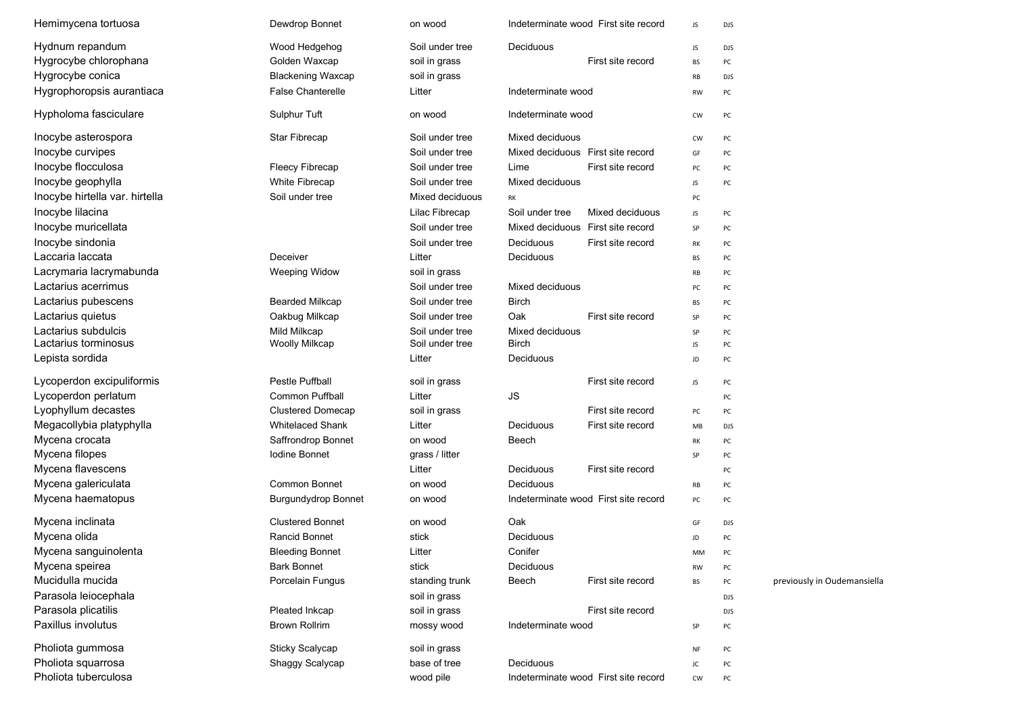| Hemimycena tortuosa            | Dewdrop Bonnet             | on wood         |                                      | Indeterminate wood First site record |           | DJS        |                             |
|--------------------------------|----------------------------|-----------------|--------------------------------------|--------------------------------------|-----------|------------|-----------------------------|
| Hydnum repandum                | Wood Hedgehog              | Soil under tree | Deciduous                            |                                      | JS        | <b>DJS</b> |                             |
| Hygrocybe chlorophana          | Golden Waxcap              | soil in grass   |                                      | First site record                    | BS        | PC         |                             |
| Hygrocybe conica               | <b>Blackening Waxcap</b>   | soil in grass   |                                      |                                      | RB        | <b>DJS</b> |                             |
| Hygrophoropsis aurantiaca      | <b>False Chanterelle</b>   | Litter          |                                      | Indeterminate wood                   |           | PC         |                             |
| Hypholoma fasciculare          | Sulphur Tuft               | on wood         | Indeterminate wood                   |                                      | CW        | PC         |                             |
| Inocybe asterospora            | Star Fibrecap              | Soil under tree | Mixed deciduous                      |                                      | <b>CW</b> | PC         |                             |
| Inocybe curvipes               |                            | Soil under tree | Mixed deciduous First site record    |                                      | GF        | PC         |                             |
| Inocybe flocculosa             | <b>Fleecy Fibrecap</b>     | Soil under tree | Lime                                 | First site record                    | PC        | PC         |                             |
| Inocybe geophylla              | White Fibrecap             | Soil under tree | Mixed deciduous                      |                                      | JS        | PC         |                             |
| Inocybe hirtella var. hirtella | Soil under tree            | Mixed deciduous | RK                                   |                                      | PC        |            |                             |
| Inocybe lilacina               |                            | Lilac Fibrecap  | Soil under tree                      | Mixed deciduous                      | JS        | PC         |                             |
| Inocybe muricellata            |                            | Soil under tree | Mixed deciduous                      | First site record                    | SP        | PC         |                             |
| Inocybe sindonia               |                            | Soil under tree | Deciduous                            | First site record                    | RK        | PC         |                             |
| Laccaria laccata               | Deceiver                   | Litter          | Deciduous                            |                                      | BS        | PC         |                             |
| Lacrymaria lacrymabunda        | <b>Weeping Widow</b>       | soil in grass   |                                      |                                      | RB        | PC         |                             |
| Lactarius acerrimus            |                            | Soil under tree | Mixed deciduous                      |                                      | PC        | PC         |                             |
| Lactarius pubescens            | <b>Bearded Milkcap</b>     | Soil under tree | <b>Birch</b>                         |                                      | BS        | PC         |                             |
| Lactarius quietus              | Oakbug Milkcap             | Soil under tree | Oak                                  | First site record                    | SP        | PC         |                             |
| Lactarius subdulcis            | Mild Milkcap               | Soil under tree | Mixed deciduous                      |                                      | SP        | PC         |                             |
| Lactarius torminosus           | <b>Woolly Milkcap</b>      | Soil under tree | <b>Birch</b>                         |                                      | JS        | PC         |                             |
| Lepista sordida                |                            | Litter          | Deciduous                            |                                      | JD        | PC         |                             |
| Lycoperdon excipuliformis      | <b>Pestle Puffball</b>     | soil in grass   |                                      | First site record                    | JS        | PC         |                             |
| Lycoperdon perlatum            | <b>Common Puffball</b>     | Litter          | JS                                   |                                      |           | PC         |                             |
| Lyophyllum decastes            | <b>Clustered Domecap</b>   | soil in grass   |                                      | First site record                    | PC        | PC         |                             |
| Megacollybia platyphylla       | <b>Whitelaced Shank</b>    | Litter          | Deciduous                            | First site record                    | MB        | <b>DJS</b> |                             |
| Mycena crocata                 | Saffrondrop Bonnet         | on wood         | Beech                                |                                      | RK        | PC         |                             |
| Mycena filopes                 | Iodine Bonnet              | grass / litter  |                                      |                                      | SP        | PC         |                             |
| Mycena flavescens              |                            | Litter          | Deciduous                            | First site record                    |           | PC         |                             |
| Mycena galericulata            | <b>Common Bonnet</b>       | on wood         | Deciduous                            |                                      | RB        | PC         |                             |
| Mycena haematopus              | <b>Burgundydrop Bonnet</b> | on wood         | Indeterminate wood First site record |                                      | PC        | PC         |                             |
| Mycena inclinata               | <b>Clustered Bonnet</b>    | on wood         | Oak                                  |                                      | GF        | <b>DJS</b> |                             |
| Mycena olida                   | <b>Rancid Bonnet</b>       | stick           | Deciduous                            |                                      | JD        | PC         |                             |
| Mycena sanguinolenta           | <b>Bleeding Bonnet</b>     | Litter          | Conifer                              |                                      | MM        | PC         |                             |
| Mycena speirea                 | <b>Bark Bonnet</b>         | stick           | Deciduous                            |                                      | RW        | PC         |                             |
| Mucidulla mucida               | Porcelain Fungus           | standing trunk  | Beech                                | First site record                    | ВS        | PC         | previously in Oudemansiella |
| Parasola leiocephala           |                            | soil in grass   |                                      |                                      |           | DJS        |                             |
| Parasola plicatilis            | Pleated Inkcap             | soil in grass   |                                      | First site record                    |           | DJS        |                             |
| Paxillus involutus             | <b>Brown Rollrim</b>       | mossy wood      | Indeterminate wood                   |                                      | SP        | PC         |                             |
| Pholiota gummosa               | Sticky Scalycap            | soil in grass   |                                      |                                      | NF        | PC         |                             |
| Pholiota squarrosa             | Shaggy Scalycap            | base of tree    | Deciduous                            |                                      | JC        | PC         |                             |
| Pholiota tuberculosa           |                            | wood pile       |                                      | Indeterminate wood First site record | CW        | PC         |                             |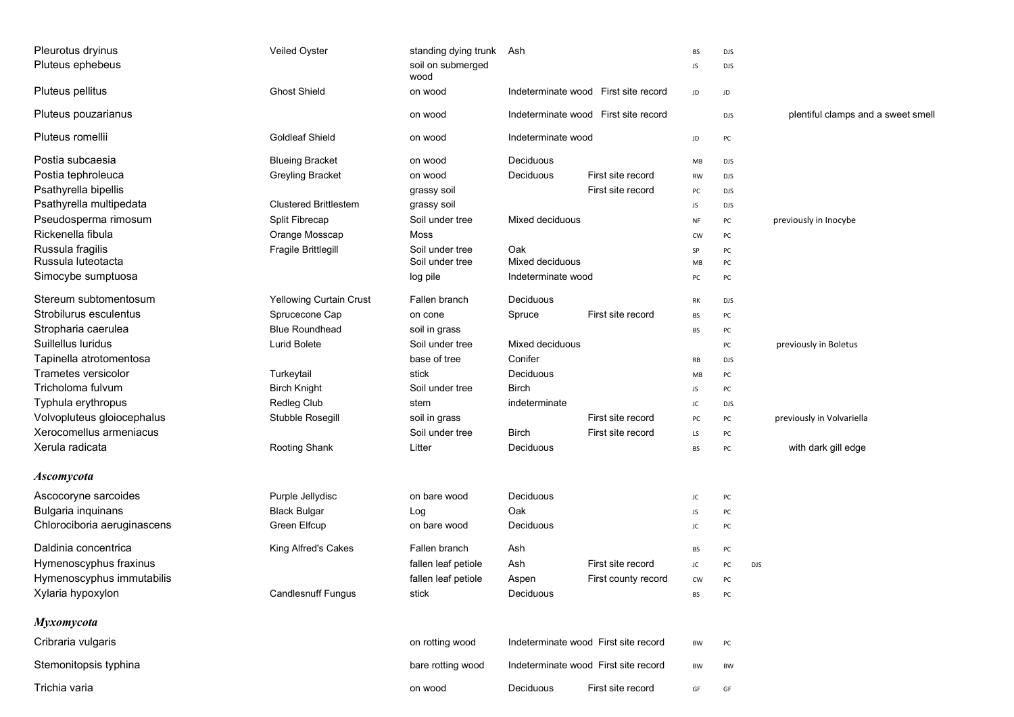| Pleurotus dryinus<br>Pluteus ephebeus | Veiled Oyster                | standing dying trunk<br>soil on submerged<br>wood | Ash                |                                      | BS<br>JS.        | <b>DJS</b><br><b>DJS</b> |                                    |
|---------------------------------------|------------------------------|---------------------------------------------------|--------------------|--------------------------------------|------------------|--------------------------|------------------------------------|
| Pluteus pellitus                      | <b>Ghost Shield</b>          | on wood                                           |                    | Indeterminate wood First site record | JD               | JD                       |                                    |
| Pluteus pouzarianus                   |                              | on wood                                           |                    | Indeterminate wood First site record |                  | <b>DJS</b>               | plentiful clamps and a sweet smell |
| Pluteus romellii                      | <b>Goldleaf Shield</b>       | on wood                                           | Indeterminate wood |                                      | JD               | PC                       |                                    |
| Postia subcaesia                      | <b>Blueing Bracket</b>       | on wood                                           | Deciduous          |                                      | MB               | <b>DJS</b>               |                                    |
| Postia tephroleuca                    | <b>Greyling Bracket</b>      | on wood                                           | Deciduous          | First site record                    | <b>RW</b>        | <b>DJS</b>               |                                    |
| Psathyrella bipellis                  |                              | grassy soil                                       |                    | First site record                    | PC               | <b>DJS</b>               |                                    |
| Psathyrella multipedata               | <b>Clustered Brittlestem</b> | grassy soil                                       |                    |                                      | JS               | <b>DJS</b>               |                                    |
| Pseudosperma rimosum                  | Split Fibrecap               | Soil under tree                                   | Mixed deciduous    |                                      | NF               | PC                       | previously in Inocybe              |
| Rickenella fibula                     | Orange Mosscap               | Moss                                              |                    |                                      | <b>CW</b>        | PC                       |                                    |
| Russula fragilis                      | Fragile Brittlegill          | Soil under tree                                   | Oak                |                                      | SP               | PC                       |                                    |
| Russula luteotacta                    |                              | Soil under tree                                   | Mixed deciduous    |                                      | MB               | PC                       |                                    |
| Simocybe sumptuosa                    |                              | log pile                                          | Indeterminate wood |                                      | PC               | PC                       |                                    |
| Stereum subtomentosum                 | Yellowing Curtain Crust      | Fallen branch                                     | Deciduous          |                                      | RK               | <b>DJS</b>               |                                    |
| Strobilurus esculentus                | Sprucecone Cap               | on cone                                           | Spruce             | First site record                    | BS               | PC                       |                                    |
| Stropharia caerulea                   | <b>Blue Roundhead</b>        | soil in grass                                     |                    |                                      | BS               | PC                       |                                    |
| Suillellus luridus                    | Lurid Bolete                 | Soil under tree                                   | Mixed deciduous    |                                      |                  | PC                       | previously in Boletus              |
| Tapinella atrotomentosa               |                              | base of tree                                      | Conifer            |                                      | RB               | <b>DJS</b>               |                                    |
| <b>Trametes versicolor</b>            | Turkeytail                   | stick                                             | Deciduous          |                                      | MB               | PC                       |                                    |
| Tricholoma fulvum                     | <b>Birch Knight</b>          | Soil under tree                                   | <b>Birch</b>       |                                      | JS               | PC                       |                                    |
| Typhula erythropus                    | Redleg Club                  | stem                                              | indeterminate      |                                      | JC               | <b>DJS</b>               |                                    |
| Volvopluteus gloiocephalus            | Stubble Rosegill             | soil in grass                                     |                    | First site record                    | PC               | PC                       | previously in Volvariella          |
| Xerocomellus armeniacus               |                              | Soil under tree                                   | <b>Birch</b>       | First site record                    | LS               | PC                       |                                    |
| Xerula radicata                       | Rooting Shank                | Litter                                            | Deciduous          |                                      | BS               | PC                       | with dark gill edge                |
| <b>Ascomycota</b>                     |                              |                                                   |                    |                                      |                  |                          |                                    |
| Ascocoryne sarcoides                  | Purple Jellydisc             | on bare wood                                      | Deciduous          |                                      | JC               | PC                       |                                    |
| Bulgaria inquinans                    | <b>Black Bulgar</b>          | Log                                               | Oak                |                                      | JS               | PC                       |                                    |
| Chlorociboria aeruginascens           | Green Elfcup                 | on bare wood                                      | Deciduous          |                                      | JC               | PC                       |                                    |
| Daldinia concentrica                  | King Alfred's Cakes          | Fallen branch                                     | Ash                |                                      | BS               | PC                       |                                    |
| Hymenoscyphus fraxinus                |                              | fallen leaf petiole                               | Ash                | First site record                    | JC               | PC                       | <b>DJS</b>                         |
| Hymenoscyphus immutabilis             |                              | fallen leaf petiole                               |                    |                                      |                  |                          |                                    |
| Xylaria hypoxylon                     | <b>Candlesnuff Fungus</b>    | stick                                             | Aspen<br>Deciduous | First county record                  | ${\sf CW}$<br>BS | PC                       |                                    |
|                                       |                              |                                                   |                    |                                      |                  |                          |                                    |
| Myxomycota                            |                              |                                                   |                    |                                      |                  |                          |                                    |
| Cribraria vulgaris                    |                              | on rotting wood                                   |                    | Indeterminate wood First site record | BW               | PC                       |                                    |
| Stemonitopsis typhina                 |                              | bare rotting wood                                 |                    | Indeterminate wood First site record | BW               | BW                       |                                    |
| Trichia varia                         |                              | on wood                                           | Deciduous          | First site record                    | GF               | GF                       |                                    |